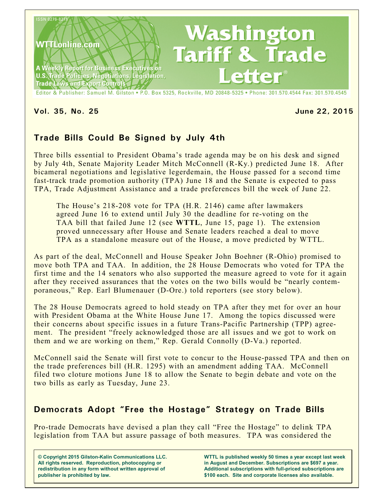

#### **Vol. 35, No. 25 June 22, 2015**

# **Trade Bills Could Be Signed by July 4th**

Three bills essential to President Obama's trade agenda may be on his desk and signed by July 4th, Senate Majority Leader Mitch McConnell (R-Ky.) predicted June 18. After bicameral negotiations and legislative legerdemain, the House passed for a second time fast-track trade promotion authority (TPA) June 18 and the Senate is expected to pass TPA, Trade Adjustment Assistance and a trade preferences bill the week of June 22.

The House's 218-208 vote for TPA (H.R. 2146) came after lawmakers agreed June 16 to extend until July 30 the deadline for re-voting on the TAA bill that failed June 12 (see **WTTL**, June 15, page 1). The extension proved unnecessary after House and Senate leaders reached a deal to move TPA as a standalone measure out of the House, a move predicted by WTTL.

As part of the deal, McConnell and House Speaker John Boehner (R-Ohio) promised to move both TPA and TAA. In addition, the 28 House Democrats who voted for TPA the first time and the 14 senators who also supported the measure agreed to vote for it again after they received assurances that the votes on the two bills would be "nearly contemporaneous," Rep. Earl Blumenauer (D-Ore.) told reporters (see story below).

The 28 House Democrats agreed to hold steady on TPA after they met for over an hour with President Obama at the White House June 17. Among the topics discussed were their concerns about specific issues in a future Trans-Pacific Partnership (TPP) agreement. The president "freely acknowledged those are all issues and we got to work on them and we are working on them," Rep. Gerald Connolly (D-Va.) reported.

McConnell said the Senate will first vote to concur to the House-passed TPA and then on the trade preferences bill (H.R. 1295) with an amendment adding TAA. McConnell filed two cloture motions June 18 to allow the Senate to begin debate and vote on the two bills as early as Tuesday, June 23.

### **Democrats Adopt "Free the Hostage" Strategy on Trade Bills**

Pro-trade Democrats have devised a plan they call "Free the Hostage" to delink TPA legislation from TAA but assure passage of both measures. TPA was considered the

**© Copyright 2015 Gilston-Kalin Communications LLC. All rights reserved. Reproduction, photocopying or redistribution in any form without written approval of publisher is prohibited by law.** 

**WTTL is published weekly 50 times a year except last week in August and December. Subscriptions are \$697 a year. Additional subscriptions with full-priced subscriptions are \$100 each. Site and corporate licenses also available.**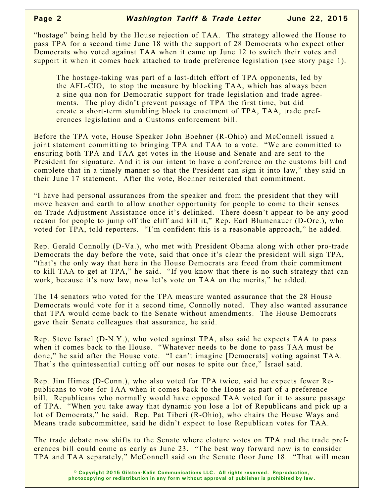"hostage" being held by the House rejection of TAA. The strategy allowed the House to pass TPA for a second time June 18 with the support of 28 Democrats who expect other Democrats who voted against TAA when it came up June 12 to switch their votes and support it when it comes back attached to trade preference legislation (see story page 1).

The hostage-taking was part of a last-ditch effort of TPA opponents, led by the AFL-CIO, to stop the measure by blocking TAA, which has always been a sine qua non for Democratic support for trade legislation and trade agreements. The ploy didn't prevent passage of TPA the first time, but did create a short-term stumbling block to enactment of TPA, TAA, trade preferences legislation and a Customs enforcement bill.

Before the TPA vote, House Speaker John Boehner (R-Ohio) and McConnell issued a joint statement committing to bringing TPA and TAA to a vote. "We are committed to ensuring both TPA and TAA get votes in the House and Senate and are sent to the President for signature. And it is our intent to have a conference on the customs bill and complete that in a timely manner so that the President can sign it into law," they said in their June 17 statement. After the vote, Boehner reiterated that commitment.

"I have had personal assurances from the speaker and from the president that they will move heaven and earth to allow another opportunity for people to come to their senses on Trade Adjustment Assistance once it's delinked. There doesn't appear to be any good reason for people to jump off the cliff and kill it," Rep. Earl Blumenauer (D-Ore.), who voted for TPA, told reporters. "I'm confident this is a reasonable approach," he added.

Rep. Gerald Connolly (D-Va.), who met with President Obama along with other pro-trade Democrats the day before the vote, said that once it's clear the president will sign TPA, "that's the only way that here in the House Democrats are freed from their commitment to kill TAA to get at TPA," he said. "If you know that there is no such strategy that can work, because it's now law, now let's vote on TAA on the merits," he added.

The 14 senators who voted for the TPA measure wanted assurance that the 28 House Democrats would vote for it a second time, Connolly noted. They also wanted assurance that TPA would come back to the Senate without amendments. The House Democrats gave their Senate colleagues that assurance, he said.

Rep. Steve Israel (D-N.Y.), who voted against TPA, also said he expects TAA to pass when it comes back to the House. "Whatever needs to be done to pass TAA must be done," he said after the House vote. "I can't imagine [Democrats] voting against TAA. That's the quintessential cutting off our noses to spite our face," Israel said.

Rep. Jim Himes (D-Conn.), who also voted for TPA twice, said he expects fewer Republicans to vote for TAA when it comes back to the House as part of a preference bill. Republicans who normally would have opposed TAA voted for it to assure passage of TPA. "When you take away that dynamic you lose a lot of Republicans and pick up a lot of Democrats," he said. Rep. Pat Tiberi (R-Ohio), who chairs the House Ways and Means trade subcommittee, said he didn't expect to lose Republican votes for TAA.

The trade debate now shifts to the Senate where cloture votes on TPA and the trade preferences bill could come as early as June 23. "The best way forward now is to consider TPA and TAA separately," McConnell said on the Senate floor June 18. "That will mean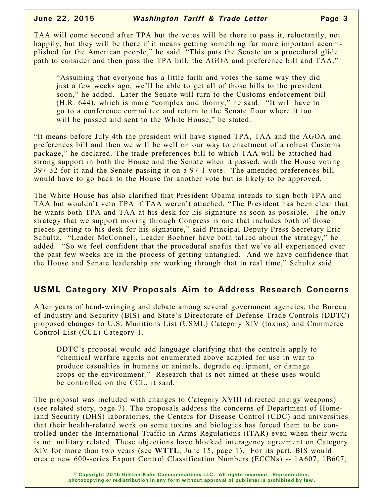TAA will come second after TPA but the votes will be there to pass it, reluctantly, not happily, but they will be there if it means getting something far more important accomplished for the American people," he said. "This puts the Senate on a procedural glide path to consider and then pass the TPA bill, the AGOA and preference bill and TAA."

"Assuming that everyone has a little faith and votes the same way they did just a few weeks ago, we'll be able to get all of those bills to the president soon," he added. Later the Senate will turn to the Customs enforcement bill (H.R. 644), which is more "complex and thorny," he said. "It will have to go to a conference committee and return to the Senate floor where it too will be passed and sent to the White House," he stated.

"It means before July 4th the president will have signed TPA, TAA and the AGOA and preferences bill and then we will be well on our way to enactment of a robust Customs package," he declared. The trade preferences bill to which TAA will be attached had strong support in both the House and the Senate when it passed, with the House voting 397-32 for it and the Senate passing it on a 97-1 vote. The amended preferences bill would have to go back to the House for another vote but is likely to be approved.

The White House has also clarified that President Obama intends to sign both TPA and TAA but wouldn't veto TPA if TAA weren't attached. "The President has been clear that he wants both TPA and TAA at his desk for his signature as soon as possible. The only strategy that we support moving through Congress is one that includes both of those pieces getting to his desk for his signature," said Principal Deputy Press Secretary Eric Schultz. "Leader McConnell, Leader Boehner have both talked about the strategy," he added. "So we feel confident that the procedural snafus that we've all experienced over the past few weeks are in the process of getting untangled. And we have confidence that the House and Senate leadership are working through that in real time," Schultz said.

#### **USML Category XIV Proposals Aim to Address Research Concerns**

After years of hand-wringing and debate among several government agencies, the Bureau of Industry and Security (BIS) and State's Directorate of Defense Trade Controls (DDTC) proposed changes to U.S. Munitions List (USML) Category XIV (toxins) and Commerce Control List (CCL) Category 1.

DDTC's proposal would add language clarifying that the controls apply to "chemical warfare agents not enumerated above adapted for use in war to produce casualties in humans or animals, degrade equipment, or damage crops or the environment." Research that is not aimed at these uses would be controlled on the CCL, it said.

The proposal was included with changes to Category XVIII (directed energy weapons) (see related story, page 7). The proposals address the concerns of Department of Homeland Security (DHS) laboratories, the Centers for Disease Control (CDC) and universities that their health-related work on some toxins and biologics has forced them to be controlled under the International Traffic in Arms Regulations (ITAR) even when their work is not military related. These objections have blocked interagency agreement on Category XIV for more than two years (see **WTTL**, June 15, page 1). For its part, BIS would create new 600-series Export Control Classification Numbers (ECCNs) -- 1A607, 1B607,

> **© Copyright 2015 Gilston-Kalin Communications LLC. All rights reserved. Reproduction, photocopying or redistribution in any form without approval of publisher is prohibited by law.**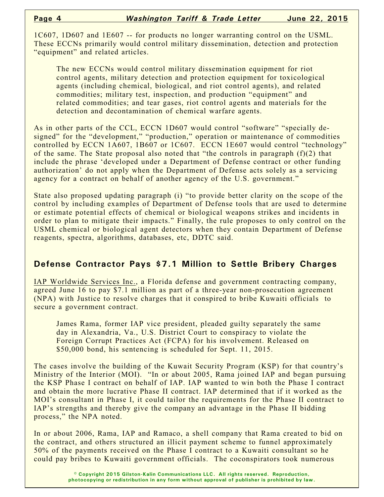1C607, 1D607 and 1E607 -- for products no longer warranting control on the USML. These ECCNs primarily would control military dissemination, detection and protection "equipment" and related articles.

The new ECCNs would control military dissemination equipment for riot control agents, military detection and protection equipment for toxicological agents (including chemical, biological, and riot control agents), and related commodities; military test, inspection, and production "equipment" and related commodities; and tear gases, riot control agents and materials for the detection and decontamination of chemical warfare agents.

As in other parts of the CCL, ECCN 1D607 would control "software" "specially designed" for the "development," "production," operation or maintenance of commodities controlled by ECCN 1A607, 1B607 or 1C607. ECCN 1E607 would control "technology" of the same. The State proposal also noted that "the controls in paragraph  $(f)(2)$  that include the phrase 'developed under a Department of Defense contract or other funding authorization' do not apply when the Department of Defense acts solely as a servicing agency for a contract on behalf of another agency of the U.S. government."

State also proposed updating paragraph (i) "to provide better clarity on the scope of the control by including examples of Department of Defense tools that are used to determine or estimate potential effects of chemical or biological weapons strikes and incidents in order to plan to mitigate their impacts." Finally, the rule proposes to only control on the USML chemical or biological agent detectors when they contain Department of Defense reagents, spectra, algorithms, databases, etc, DDTC said.

### **Defense Contractor Pays \$7.1 Million to Settle Bribery Charges**

IAP Worldwide Services Inc., a Florida defense and government contracting company, agreed June 16 to pay \$7.1 million as part of a three-year non-prosecution agreement (NPA) with Justice to resolve charges that it conspired to bribe Kuwaiti officials to secure a government contract.

James Rama, former IAP vice president, pleaded guilty separately the same day in Alexandria, Va., U.S. District Court to conspiracy to violate the Foreign Corrupt Practices Act (FCPA) for his involvement. Released on \$50,000 bond, his sentencing is scheduled for Sept. 11, 2015.

The cases involve the building of the Kuwait Security Program (KSP) for that country's Ministry of the Interior (MOI). "In or about 2005, Rama joined IAP and began pursuing the KSP Phase I contract on behalf of IAP. IAP wanted to win both the Phase I contract and obtain the more lucrative Phase II contract. IAP determined that if it worked as the MOI's consultant in Phase I, it could tailor the requirements for the Phase II contract to IAP's strengths and thereby give the company an advantage in the Phase II bidding process," the NPA noted.

In or about 2006, Rama, IAP and Ramaco, a shell company that Rama created to bid on the contract, and others structured an illicit payment scheme to funnel approximately 50% of the payments received on the Phase I contract to a Kuwaiti consultant so he could pay bribes to Kuwaiti government officials. The coconspirators took numerous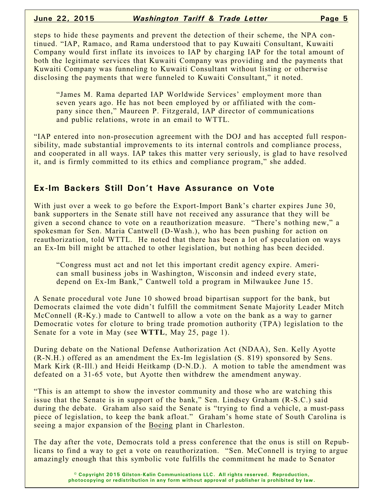steps to hide these payments and prevent the detection of their scheme, the NPA continued. "IAP, Ramaco, and Rama understood that to pay Kuwaiti Consultant, Kuwaiti Company would first inflate its invoices to IAP by charging IAP for the total amount of both the legitimate services that Kuwaiti Company was providing and the payments that Kuwaiti Company was funneling to Kuwaiti Consultant without listing or otherwise disclosing the payments that were funneled to Kuwaiti Consultant," it noted.

"James M. Rama departed IAP Worldwide Services' employment more than seven years ago. He has not been employed by or affiliated with the company since then," Maureen P. Fitzgerald, IAP director of communications and public relations, wrote in an email to WTTL.

"IAP entered into non-prosecution agreement with the DOJ and has accepted full responsibility, made substantial improvements to its internal controls and compliance process, and cooperated in all ways. IAP takes this matter very seriously, is glad to have resolved it, and is firmly committed to its ethics and compliance program," she added.

#### **Ex-Im Backers Still Don't Have Assurance on Vote**

With just over a week to go before the Export-Import Bank's charter expires June 30, bank supporters in the Senate still have not received any assurance that they will be given a second chance to vote on a reauthorization measure. "There's nothing new," a spokesman for Sen. Maria Cantwell (D-Wash.), who has been pushing for action on reauthorization, told WTTL. He noted that there has been a lot of speculation on ways an Ex-Im bill might be attached to other legislation, but nothing has been decided.

"Congress must act and not let this important credit agency expire. American small business jobs in Washington, Wisconsin and indeed every state, depend on Ex-Im Bank," Cantwell told a program in Milwaukee June 15.

A Senate procedural vote June 10 showed broad bipartisan support for the bank, but Democrats claimed the vote didn't fulfill the commitment Senate Majority Leader Mitch McConnell (R-Ky.) made to Cantwell to allow a vote on the bank as a way to garner Democratic votes for cloture to bring trade promotion authority (TPA) legislation to the Senate for a vote in May (see **WTTL**, May 25, page 1).

During debate on the National Defense Authorization Act (NDAA), Sen. Kelly Ayotte (R-N.H.) offered as an amendment the Ex-Im legislation (S. 819) sponsored by Sens. Mark Kirk (R-Ill.) and Heidi Heitkamp (D-N.D.). A motion to table the amendment was defeated on a 31-65 vote, but Ayotte then withdrew the amendment anyway.

"This is an attempt to show the investor community and those who are watching this issue that the Senate is in support of the bank," Sen. Lindsey Graham (R-S.C.) said during the debate. Graham also said the Senate is "trying to find a vehicle, a must-pass piece of legislation, to keep the bank afloat." Graham's home state of South Carolina is seeing a major expansion of the Boeing plant in Charleston.

The day after the vote, Democrats told a press conference that the onus is still on Republicans to find a way to get a vote on reauthorization. "Sen. McConnell is trying to argue amazingly enough that this symbolic vote fulfills the commitment he made to Senator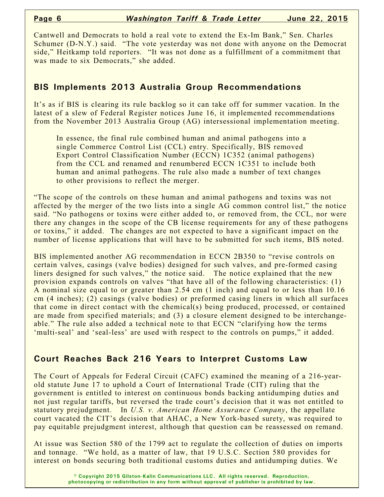Cantwell and Democrats to hold a real vote to extend the Ex-Im Bank," Sen. Charles Schumer (D-N.Y.) said. "The vote yesterday was not done with anyone on the Democrat side," Heitkamp told reporters. "It was not done as a fulfillment of a commitment that was made to six Democrats," she added.

#### **BIS Implements 2013 Australia Group Recommendations**

It's as if BIS is clearing its rule backlog so it can take off for summer vacation. In the latest of a slew of Federal Register notices June 16, it implemented recommendations from the November 2013 Australia Group (AG) intersessional implementation meeting.

In essence, the final rule combined human and animal pathogens into a single Commerce Control List (CCL) entry. Specifically, BIS removed Export Control Classification Number (ECCN) 1C352 (animal pathogens) from the CCL and renamed and renumbered ECCN 1C351 to include both human and animal pathogens. The rule also made a number of text changes to other provisions to reflect the merger.

"The scope of the controls on these human and animal pathogens and toxins was not affected by the merger of the two lists into a single AG common control list," the notice said. "No pathogens or toxins were either added to, or removed from, the CCL, nor were there any changes in the scope of the CB license requirements for any of these pathogens or toxins," it added. The changes are not expected to have a significant impact on the number of license applications that will have to be submitted for such items, BIS noted.

BIS implemented another AG recommendation in ECCN 2B350 to "revise controls on certain valves, casings (valve bodies) designed for such valves, and pre-formed casing liners designed for such valves," the notice said. The notice explained that the new provision expands controls on valves "that have all of the following characteristics: (1) A nominal size equal to or greater than 2.54 cm (1 inch) and equal to or less than 10.16 cm (4 inches); (2) casings (valve bodies) or preformed casing liners in which all surfaces that come in direct contact with the chemical(s) being produced, processed, or contained are made from specified materials; and (3) a closure element designed to be interchangeable." The rule also added a technical note to that ECCN "clarifying how the terms 'multi-seal' and 'seal-less' are used with respect to the controls on pumps," it added.

#### **Court Reaches Back 216 Years to Interpret Customs Law**

The Court of Appeals for Federal Circuit (CAFC) examined the meaning of a 216-yearold statute June 17 to uphold a Court of International Trade (CIT) ruling that the government is entitled to interest on continuous bonds backing antidumping duties and not just regular tariffs, but reversed the trade court's decision that it was not entitled to statutory prejudgment. In *U.S. v. American Home Assurance Company*, the appellate court vacated the CIT's decision that AHAC, a New York-based surety, was required to pay equitable prejudgment interest, although that question can be reassessed on remand.

At issue was Section 580 of the 1799 act to regulate the collection of duties on imports and tonnage. "We hold, as a matter of law, that 19 U.S.C. Section 580 provides for interest on bonds securing both traditional customs duties and antidumping duties. We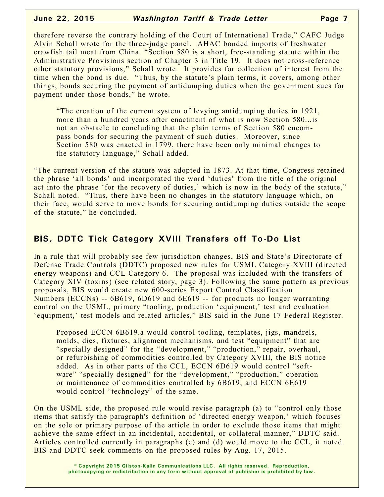therefore reverse the contrary holding of the Court of International Trade," CAFC Judge Alvin Schall wrote for the three-judge panel. AHAC bonded imports of freshwater crawfish tail meat from China. "Section 580 is a short, free-standing statute within the Administrative Provisions section of Chapter 3 in Title 19. It does not cross-reference other statutory provisions," Schall wrote. It provides for collection of interest from the time when the bond is due. "Thus, by the statute's plain terms, it covers, among other things, bonds securing the payment of antidumping duties when the government sues for payment under those bonds," he wrote.

"The creation of the current system of levying antidumping duties in 1921, more than a hundred years after enactment of what is now Section 580...is not an obstacle to concluding that the plain terms of Section 580 encompass bonds for securing the payment of such duties. Moreover, since Section 580 was enacted in 1799, there have been only minimal changes to the statutory language," Schall added.

"The current version of the statute was adopted in 1873. At that time, Congress retained the phrase 'all bonds' and incorporated the word 'duties' from the title of the original act into the phrase 'for the recovery of duties,' which is now in the body of the statute," Schall noted. "Thus, there have been no changes in the statutory language which, on their face, would serve to move bonds for securing antidumping duties outside the scope of the statute," he concluded.

## **BIS, DDTC Tick Category XVIII Transfers off To-Do List**

In a rule that will probably see few jurisdiction changes, BIS and State's Directorate of Defense Trade Controls (DDTC) proposed new rules for USML Category XVIII (directed energy weapons) and CCL Category 6. The proposal was included with the transfers of Category XIV (toxins) (see related story, page 3). Following the same pattern as previous proposals, BIS would create new 600-series Export Control Classification Numbers (ECCNs) -- 6B619, 6D619 and 6E619 -- for products no longer warranting control on the USML, primary "tooling, production 'equipment,' test and evaluation 'equipment,' test models and related articles," BIS said in the June 17 Federal Register.

Proposed ECCN 6B619.a would control tooling, templates, jigs, mandrels, molds, dies, fixtures, alignment mechanisms, and test "equipment" that are "specially designed" for the "development," "production," repair, overhaul, or refurbishing of commodities controlled by Category XVIII, the BIS notice added. As in other parts of the CCL, ECCN 6D619 would control "software" "specially designed" for the "development," "production," operation or maintenance of commodities controlled by 6B619, and ECCN 6E619 would control "technology" of the same.

On the USML side, the proposed rule would revise paragraph (a) to "control only those items that satisfy the paragraph's definition of 'directed energy weapon,' which focuses on the sole or primary purpose of the article in order to exclude those items that might achieve the same effect in an incidental, accidental, or collateral manner," DDTC said. Articles controlled currently in paragraphs (c) and (d) would move to the CCL, it noted. BIS and DDTC seek comments on the proposed rules by Aug. 17, 2015.